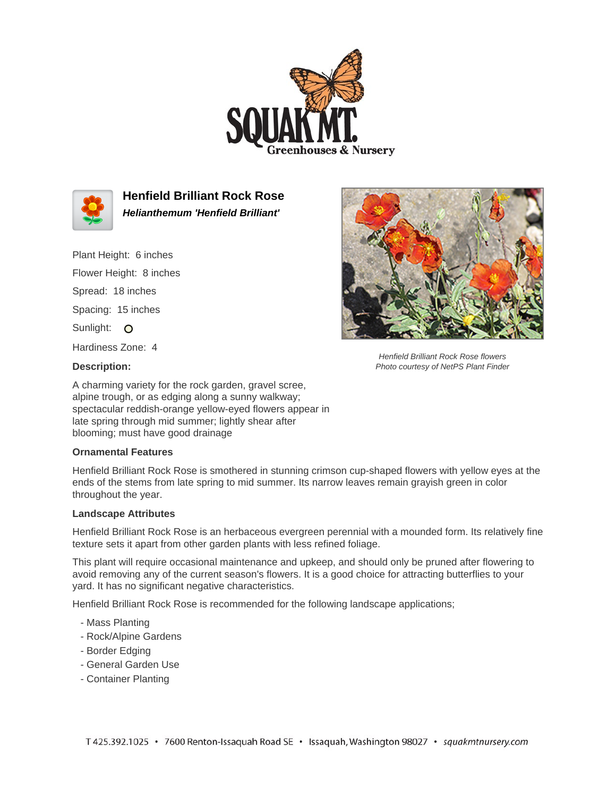



**Henfield Brilliant Rock Rose Helianthemum 'Henfield Brilliant'**

Plant Height: 6 inches

Flower Height: 8 inches Spread: 18 inches

Spacing: 15 inches

Sunlight: O

Hardiness Zone: 4



Henfield Brilliant Rock Rose flowers Photo courtesy of NetPS Plant Finder

## **Description:**

A charming variety for the rock garden, gravel scree, alpine trough, or as edging along a sunny walkway; spectacular reddish-orange yellow-eyed flowers appear in late spring through mid summer; lightly shear after blooming; must have good drainage

## **Ornamental Features**

Henfield Brilliant Rock Rose is smothered in stunning crimson cup-shaped flowers with yellow eyes at the ends of the stems from late spring to mid summer. Its narrow leaves remain grayish green in color throughout the year.

## **Landscape Attributes**

Henfield Brilliant Rock Rose is an herbaceous evergreen perennial with a mounded form. Its relatively fine texture sets it apart from other garden plants with less refined foliage.

This plant will require occasional maintenance and upkeep, and should only be pruned after flowering to avoid removing any of the current season's flowers. It is a good choice for attracting butterflies to your yard. It has no significant negative characteristics.

Henfield Brilliant Rock Rose is recommended for the following landscape applications;

- Mass Planting
- Rock/Alpine Gardens
- Border Edging
- General Garden Use
- Container Planting